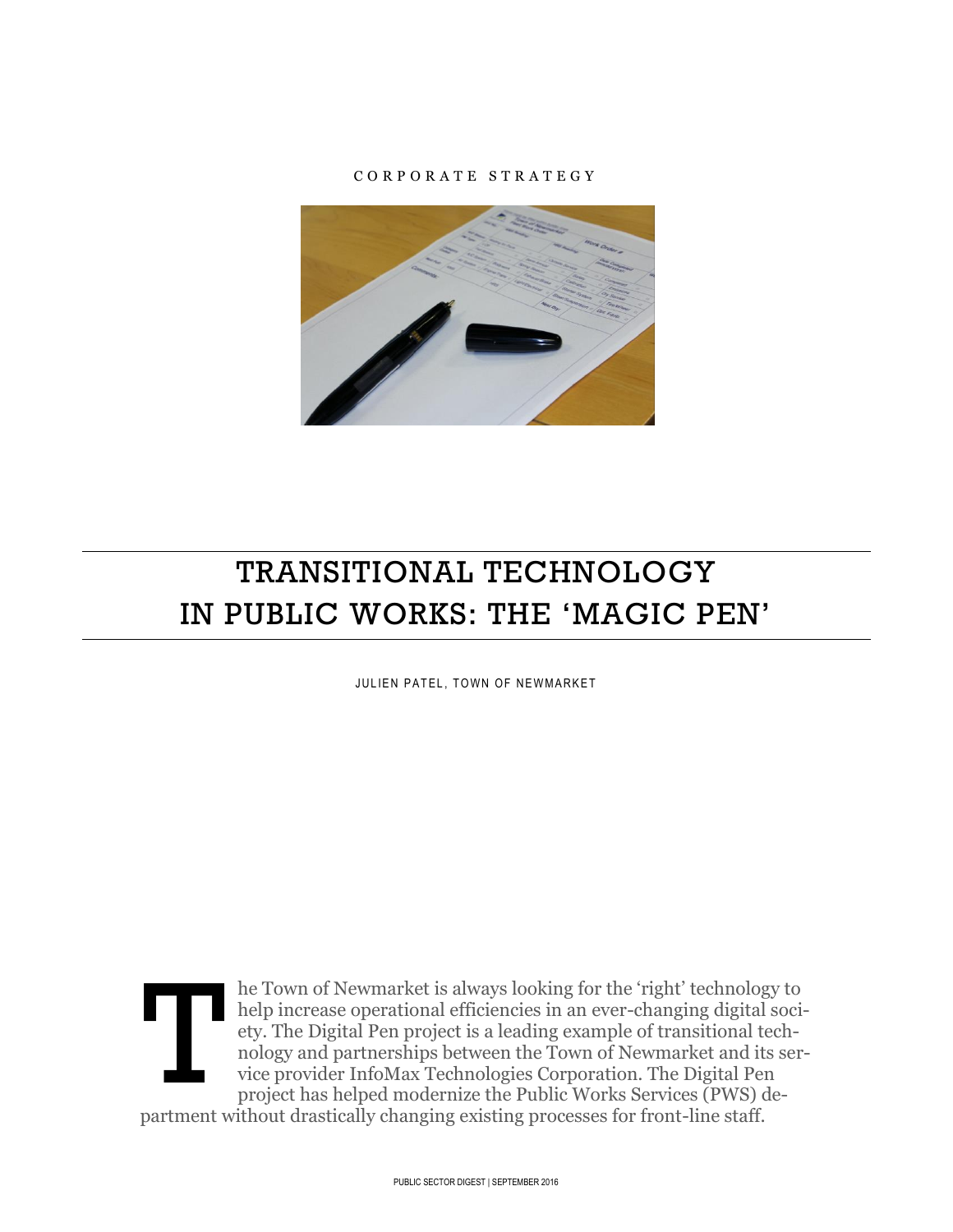### C O R P O R A T E S T R A T E G Y



# TRANSITIONAL TECHNOLOGY IN PUBLIC WORKS: THE 'MAGIC PEN'

JULIEN PATEL, TOWN OF NEWMARKET



he Town of Newmarket is always looking for the 'right' technology to help increase operational efficiencies in an ever-changing digital society. The Digital Pen project is a leading example of transitional technology and partnerships between the Town of Newmarket and its service provider InfoMax Technologies Corporation. The Digital Pen project has helped modernize the Public Works Services (PWS) de-

partment without drastically changing existing processes for front-line staff.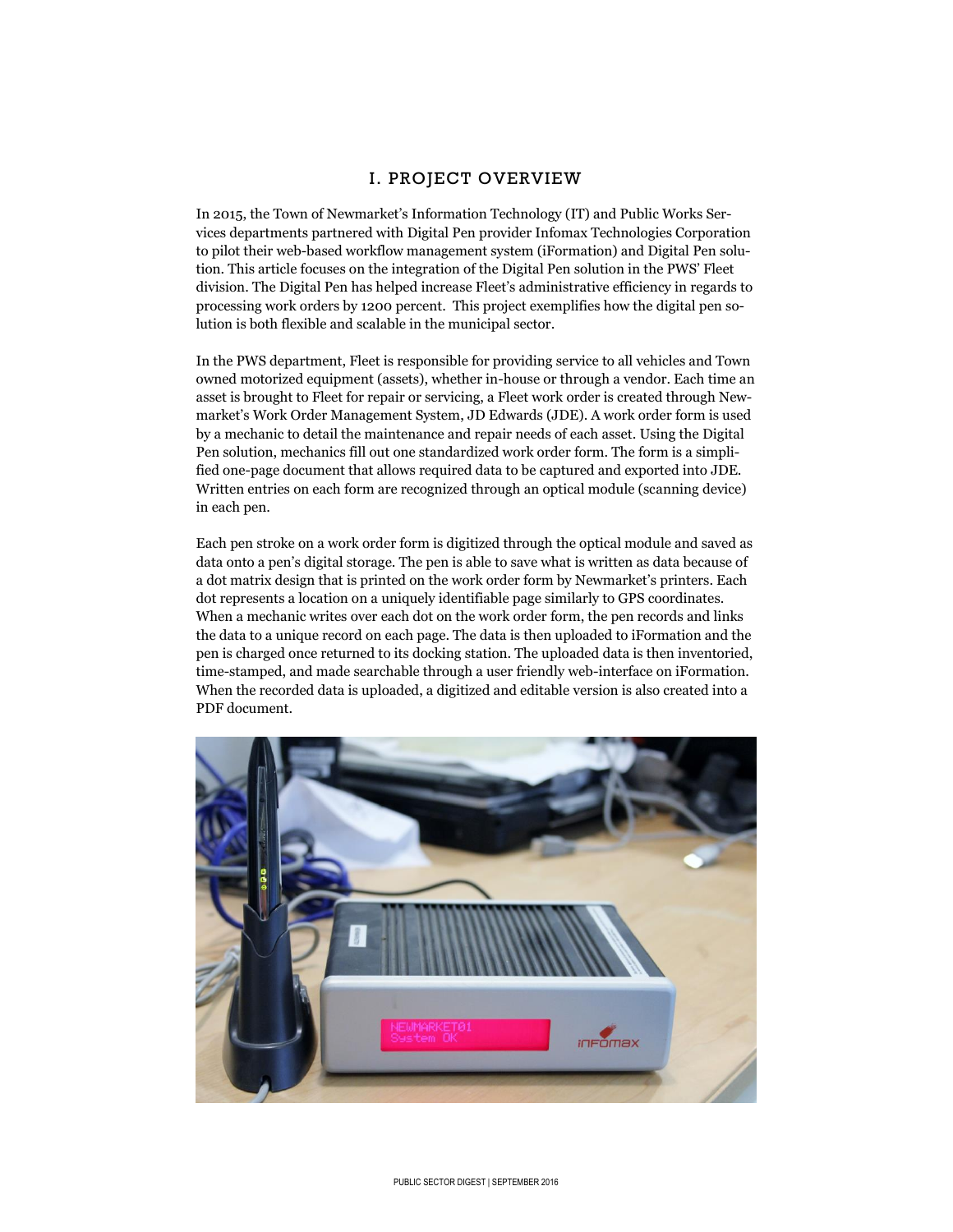## I. PROJECT OVERVIEW

In 2015, the Town of Newmarket's Information Technology (IT) and Public Works Services departments partnered with Digital Pen provider Infomax Technologies Corporation to pilot their web-based workflow management system (iFormation) and Digital Pen solution. This article focuses on the integration of the Digital Pen solution in the PWS' Fleet division. The Digital Pen has helped increase Fleet's administrative efficiency in regards to processing work orders by 1200 percent. This project exemplifies how the digital pen solution is both flexible and scalable in the municipal sector.

In the PWS department, Fleet is responsible for providing service to all vehicles and Town owned motorized equipment (assets), whether in-house or through a vendor. Each time an asset is brought to Fleet for repair or servicing, a Fleet work order is created through Newmarket's Work Order Management System, JD Edwards (JDE). A work order form is used by a mechanic to detail the maintenance and repair needs of each asset. Using the Digital Pen solution, mechanics fill out one standardized work order form. The form is a simplified one-page document that allows required data to be captured and exported into JDE. Written entries on each form are recognized through an optical module (scanning device) in each pen.

Each pen stroke on a work order form is digitized through the optical module and saved as data onto a pen's digital storage. The pen is able to save what is written as data because of a dot matrix design that is printed on the work order form by Newmarket's printers. Each dot represents a location on a uniquely identifiable page similarly to GPS coordinates. When a mechanic writes over each dot on the work order form, the pen records and links the data to a unique record on each page. The data is then uploaded to iFormation and the pen is charged once returned to its docking station. The uploaded data is then inventoried, time-stamped, and made searchable through a user friendly web-interface on iFormation. When the recorded data is uploaded, a digitized and editable version is also created into a PDF document.

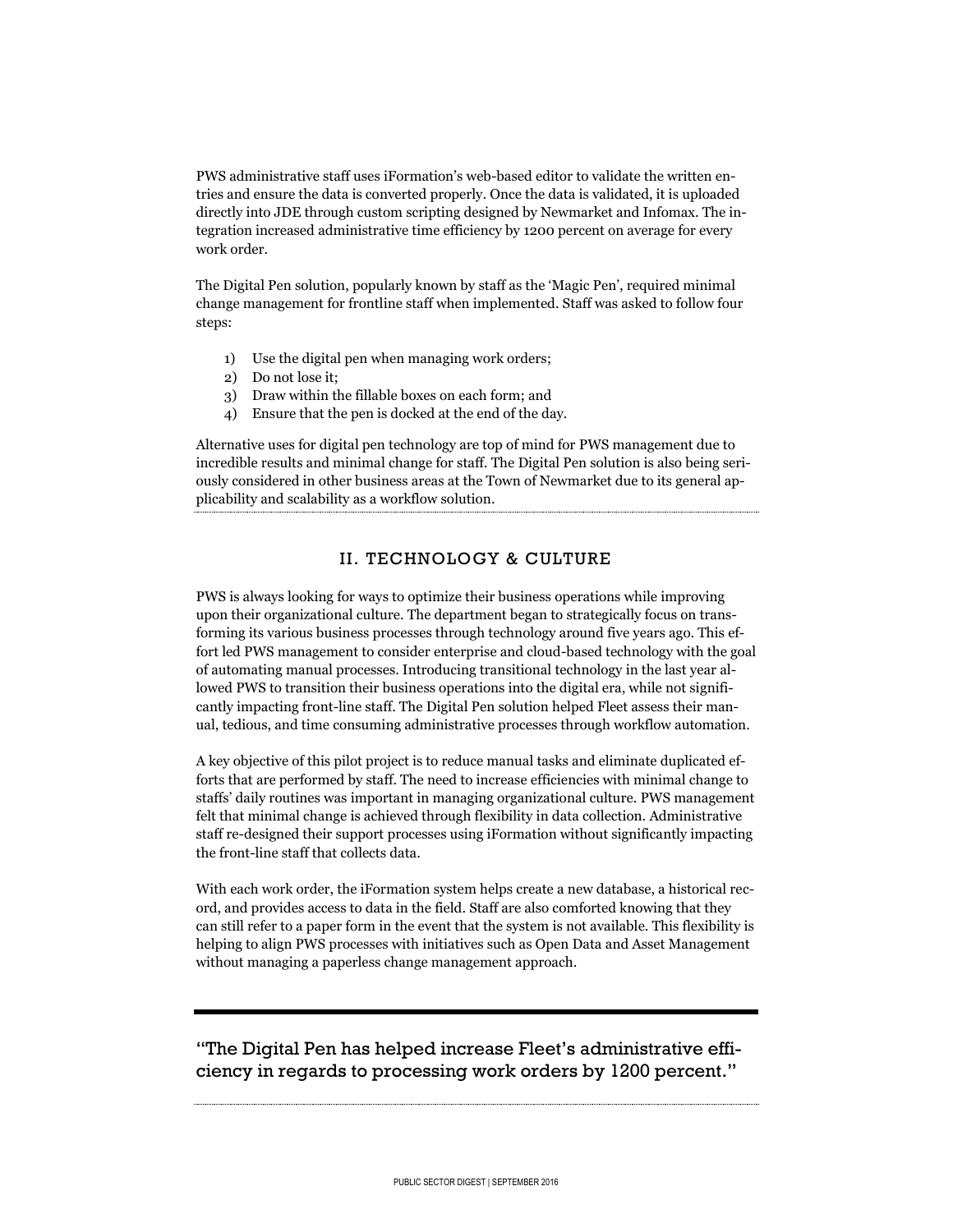PWS administrative staff uses iFormation's web-based editor to validate the written entries and ensure the data is converted properly. Once the data is validated, it is uploaded directly into JDE through custom scripting designed by Newmarket and Infomax. The integration increased administrative time efficiency by 1200 percent on average for every work order.

The Digital Pen solution, popularly known by staff as the 'Magic Pen', required minimal change management for frontline staff when implemented. Staff was asked to follow four steps:

- 1) Use the digital pen when managing work orders;
- 2) Do not lose it;
- 3) Draw within the fillable boxes on each form; and
- 4) Ensure that the pen is docked at the end of the day.

Alternative uses for digital pen technology are top of mind for PWS management due to incredible results and minimal change for staff. The Digital Pen solution is also being seriously considered in other business areas at the Town of Newmarket due to its general applicability and scalability as a workflow solution.

### II. TECHNOLOGY & CULTURE

PWS is always looking for ways to optimize their business operations while improving upon their organizational culture. The department began to strategically focus on transforming its various business processes through technology around five years ago. This effort led PWS management to consider enterprise and cloud-based technology with the goal of automating manual processes. Introducing transitional technology in the last year allowed PWS to transition their business operations into the digital era, while not significantly impacting front-line staff. The Digital Pen solution helped Fleet assess their manual, tedious, and time consuming administrative processes through workflow automation.

A key objective of this pilot project is to reduce manual tasks and eliminate duplicated efforts that are performed by staff. The need to increase efficiencies with minimal change to staffs' daily routines was important in managing organizational culture. PWS management felt that minimal change is achieved through flexibility in data collection. Administrative staff re-designed their support processes using iFormation without significantly impacting the front-line staff that collects data.

With each work order, the iFormation system helps create a new database, a historical record, and provides access to data in the field. Staff are also comforted knowing that they can still refer to a paper form in the event that the system is not available. This flexibility is helping to align PWS processes with initiatives such as Open Data and Asset Management without managing a paperless change management approach.

"The Digital Pen has helped increase Fleet's administrative efficiency in regards to processing work orders by 1200 percent."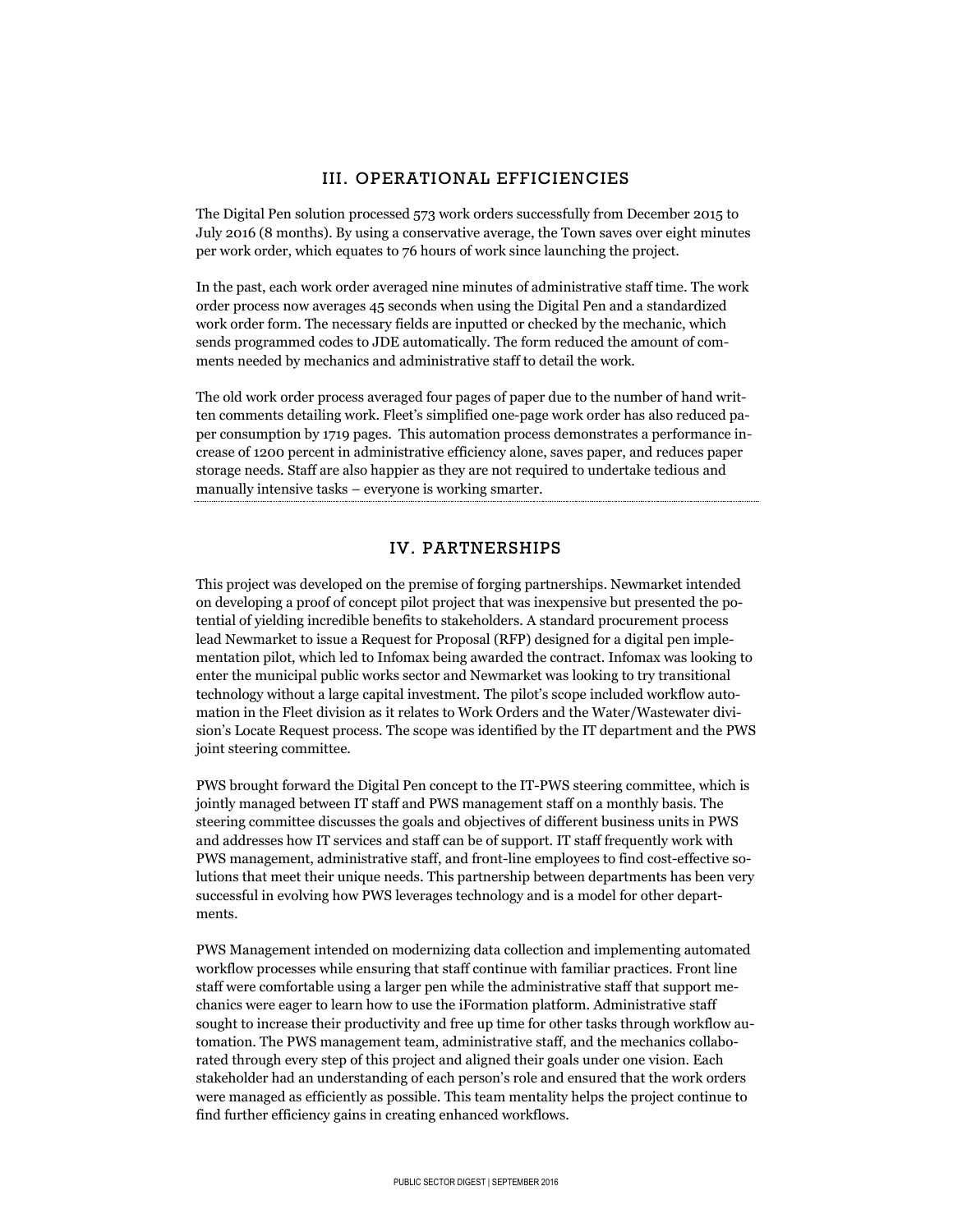## III. OPERATIONAL EFFICIENCIES

The Digital Pen solution processed 573 work orders successfully from December 2015 to July 2016 (8 months). By using a conservative average, the Town saves over eight minutes per work order, which equates to 76 hours of work since launching the project.

In the past, each work order averaged nine minutes of administrative staff time. The work order process now averages 45 seconds when using the Digital Pen and a standardized work order form. The necessary fields are inputted or checked by the mechanic, which sends programmed codes to JDE automatically. The form reduced the amount of comments needed by mechanics and administrative staff to detail the work.

The old work order process averaged four pages of paper due to the number of hand written comments detailing work. Fleet's simplified one-page work order has also reduced paper consumption by 1719 pages. This automation process demonstrates a performance increase of 1200 percent in administrative efficiency alone, saves paper, and reduces paper storage needs. Staff are also happier as they are not required to undertake tedious and manually intensive tasks – everyone is working smarter.

## IV. PARTNERSHIPS

This project was developed on the premise of forging partnerships. Newmarket intended on developing a proof of concept pilot project that was inexpensive but presented the potential of yielding incredible benefits to stakeholders. A standard procurement process lead Newmarket to issue a Request for Proposal (RFP) designed for a digital pen implementation pilot, which led to Infomax being awarded the contract. Infomax was looking to enter the municipal public works sector and Newmarket was looking to try transitional technology without a large capital investment. The pilot's scope included workflow automation in the Fleet division as it relates to Work Orders and the Water/Wastewater division's Locate Request process. The scope was identified by the IT department and the PWS joint steering committee.

PWS brought forward the Digital Pen concept to the IT-PWS steering committee, which is jointly managed between IT staff and PWS management staff on a monthly basis. The steering committee discusses the goals and objectives of different business units in PWS and addresses how IT services and staff can be of support. IT staff frequently work with PWS management, administrative staff, and front-line employees to find cost-effective solutions that meet their unique needs. This partnership between departments has been very successful in evolving how PWS leverages technology and is a model for other departments.

PWS Management intended on modernizing data collection and implementing automated workflow processes while ensuring that staff continue with familiar practices. Front line staff were comfortable using a larger pen while the administrative staff that support mechanics were eager to learn how to use the iFormation platform. Administrative staff sought to increase their productivity and free up time for other tasks through workflow automation. The PWS management team, administrative staff, and the mechanics collaborated through every step of this project and aligned their goals under one vision. Each stakeholder had an understanding of each person's role and ensured that the work orders were managed as efficiently as possible. This team mentality helps the project continue to find further efficiency gains in creating enhanced workflows.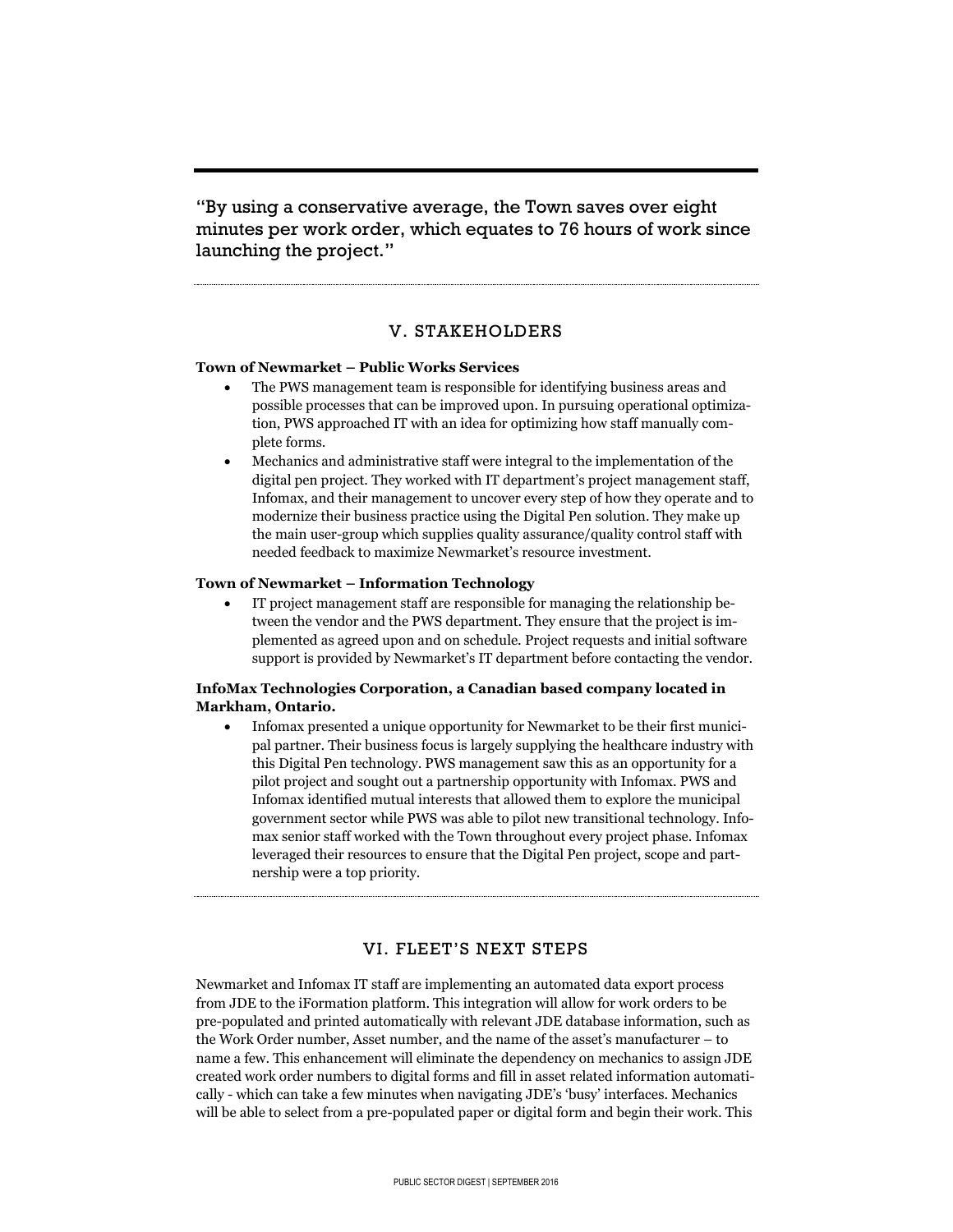"By using a conservative average, the Town saves over eight minutes per work order, which equates to 76 hours of work since launching the project."

#### V. STAKEHOLDERS

#### **Town of Newmarket – Public Works Services**

- The PWS management team is responsible for identifying business areas and possible processes that can be improved upon. In pursuing operational optimization, PWS approached IT with an idea for optimizing how staff manually complete forms.
- Mechanics and administrative staff were integral to the implementation of the digital pen project. They worked with IT department's project management staff, Infomax, and their management to uncover every step of how they operate and to modernize their business practice using the Digital Pen solution. They make up the main user-group which supplies quality assurance/quality control staff with needed feedback to maximize Newmarket's resource investment.

#### **Town of Newmarket – Information Technology**

 IT project management staff are responsible for managing the relationship between the vendor and the PWS department. They ensure that the project is implemented as agreed upon and on schedule. Project requests and initial software support is provided by Newmarket's IT department before contacting the vendor.

#### **InfoMax Technologies Corporation, a Canadian based company located in Markham, Ontario.**

 Infomax presented a unique opportunity for Newmarket to be their first municipal partner. Their business focus is largely supplying the healthcare industry with this Digital Pen technology. PWS management saw this as an opportunity for a pilot project and sought out a partnership opportunity with Infomax. PWS and Infomax identified mutual interests that allowed them to explore the municipal government sector while PWS was able to pilot new transitional technology. Infomax senior staff worked with the Town throughout every project phase. Infomax leveraged their resources to ensure that the Digital Pen project, scope and partnership were a top priority.

#### VI. FLEET'S NEXT STEPS

Newmarket and Infomax IT staff are implementing an automated data export process from JDE to the iFormation platform. This integration will allow for work orders to be pre-populated and printed automatically with relevant JDE database information, such as the Work Order number, Asset number, and the name of the asset's manufacturer – to name a few. This enhancement will eliminate the dependency on mechanics to assign JDE created work order numbers to digital forms and fill in asset related information automatically - which can take a few minutes when navigating JDE's 'busy' interfaces. Mechanics will be able to select from a pre-populated paper or digital form and begin their work. This